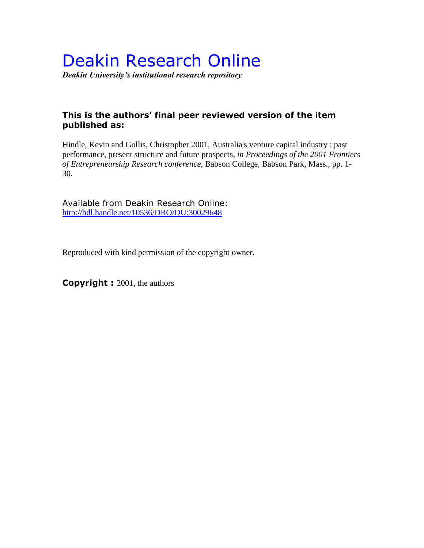# Deakin Research Online

*Deakin University's institutional research repository*

### **This is the authors' final peer reviewed version of the item published as:**

Hindle, Kevin and Gollis, Christopher 2001, Australia's venture capital industry : past performance, present structure and future prospects*, in Proceedings of the 2001 Frontiers of Entrepreneurship Research conference*, Babson College, Babson Park, Mass., pp. 1- 30.

Available from Deakin Research Online: <http://hdl.handle.net/10536/DRO/DU:30029648>

Reproduced with kind permission of the copyright owner.

**Copyright :** 2001, the authors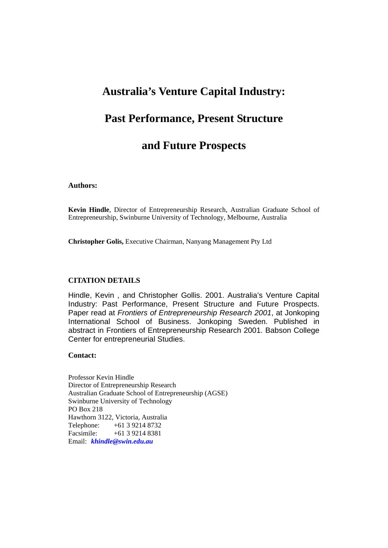# **Australia's Venture Capital Industry:**

## **Past Performance, Present Structure**

# **and Future Prospects**

#### **Authors:**

**Kevin Hindle**, Director of Entrepreneurship Research, Australian Graduate School of Entrepreneurship, Swinburne University of Technology, Melbourne, Australia

**Christopher Golis,** Executive Chairman, Nanyang Management Pty Ltd

#### **CITATION DETAILS**

Hindle, Kevin , and Christopher Gollis. 2001. Australia's Venture Capital Industry: Past Performance, Present Structure and Future Prospects. Paper read at *Frontiers of Entrepreneurship Research 2001*, at Jonkoping International School of Business. Jonkoping Sweden. Published in abstract in Frontiers of Entrepreneurship Research 2001. Babson College Center for entrepreneurial Studies.

#### **Contact:**

Professor Kevin Hindle Director of Entrepreneurship Research Australian Graduate School of Entrepreneurship (AGSE) Swinburne University of Technology PO Box 218 Hawthorn 3122, Victoria, Australia Telephone: +61 3 9214 8732 Facsimile: +61 3 9214 8381 Email: *khindle@swin.edu.au*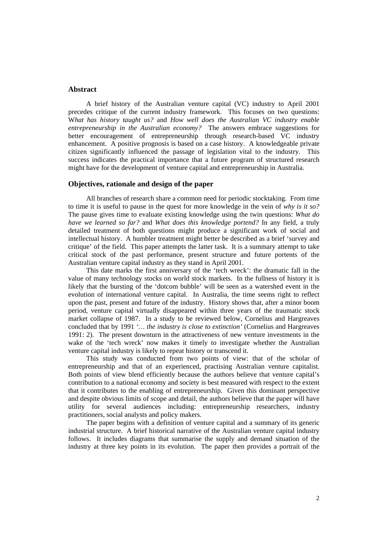#### **Abstract**

A brief history of the Australian venture capital (VC) industry to April 2001 precedes critique of the current industry framework. This focuses on two questions: W*hat has history taught us?* and *How well does the Australian VC industry enable entrepreneurship in the Australian economy?* The answers embrace suggestions for better encouragement of entrepreneurship through research-based VC industry enhancement. A positive prognosis is based on a case history. A knowledgeable private citizen significantly influenced the passage of legislation vital to the industry. This success indicates the practical importance that a future program of structured research might have for the development of venture capital and entrepreneurship in Australia.

#### **Objectives, rationale and design of the paper**

All branches of research share a common need for periodic stocktaking. From time to time it is useful to pause in the quest for more knowledge in the vein of *why is it so?* The pause gives time to evaluate existing knowledge using the twin questions: *What do have we learned so far?* and *What does this knowledge portend?* In any field, a truly detailed treatment of both questions might produce a significant work of social and intellectual history. A humbler treatment might better be described as a brief 'survey and critique' of the field. This paper attempts the latter task. It is a summary attempt to take critical stock of the past performance, present structure and future portents of the Australian venture capital industry as they stand in April 2001.

This date marks the first anniversary of the 'tech wreck': the dramatic fall in the value of many technology stocks on world stock markets. In the fullness of history it is likely that the bursting of the 'dotcom bubble' will be seen as a watershed event in the evolution of international venture capital. In Australia, the time seems right to reflect upon the past, present and future of the industry. History shows that, after a minor boom period, venture capital virtually disappeared within three years of the traumatic stock market collapse of 1987. In a study to be reviewed below, Cornelius and Hargreaves concluded that by 1991 *'… the industry is close to extinction'* (Cornelius and Hargreaves 1991: 2). The present downturn in the attractiveness of new venture investments in the wake of the 'tech wreck' now makes it timely to investigate whether the Australian venture capital industry is likely to repeat history or transcend it.

This study was conducted from two points of view: that of the scholar of entrepreneurship and that of an experienced, practising Australian venture capitalist. Both points of view blend efficiently because the authors believe that venture capital's contribution to a national economy and society is best measured with respect to the extent that it contributes to the enabling of entrepreneurship. Given this dominant perspective and despite obvious limits of scope and detail, the authors believe that the paper will have utility for several audiences including: entrepreneurship researchers, industry practitioners, social analysts and policy makers.

The paper begins with a definition of venture capital and a summary of its generic industrial structure. A brief historical narrative of the Australian venture capital industry follows. It includes diagrams that summarise the supply and demand situation of the industry at three key points in its evolution. The paper then provides a portrait of the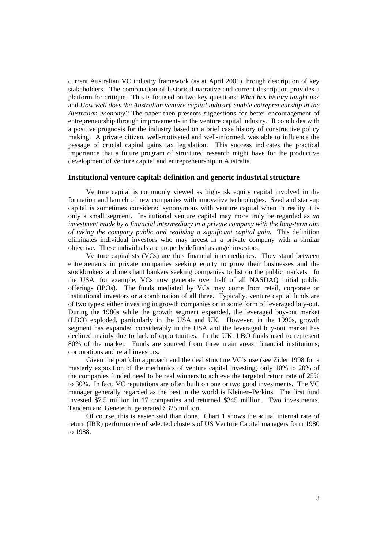current Australian VC industry framework (as at April 2001) through description of key stakeholders. The combination of historical narrative and current description provides a platform for critique. This is focused on two key questions: *What has history taught us?* and *How well does the Australian venture capital industry enable entrepreneurship in the Australian economy?* The paper then presents suggestions for better encouragement of entrepreneurship through improvements in the venture capital industry. It concludes with a positive prognosis for the industry based on a brief case history of constructive policy making. A private citizen, well-motivated and well-informed, was able to influence the passage of crucial capital gains tax legislation. This success indicates the practical importance that a future program of structured research might have for the productive development of venture capital and entrepreneurship in Australia.

#### **Institutional venture capital: definition and generic industrial structure**

Venture capital is commonly viewed as high-risk equity capital involved in the formation and launch of new companies with innovative technologies. Seed and start-up capital is sometimes considered synonymous with venture capital when in reality it is only a small segment. Institutional venture capital may more truly be regarded as *an investment made by a financial intermediary in a private company with the long-term aim of taking the company public and realising a significant capital gain.* This definition eliminates individual investors who may invest in a private company with a similar objective. These individuals are properly defined as angel investors.

Venture capitalists (VCs) are thus financial intermediaries. They stand between entrepreneurs in private companies seeking equity to grow their businesses and the stockbrokers and merchant bankers seeking companies to list on the public markets. In the USA, for example, VCs now generate over half of all NASDAQ initial public offerings (IPOs). The funds mediated by VCs may come from retail, corporate or institutional investors or a combination of all three. Typically, venture capital funds are of two types: either investing in growth companies or in some form of leveraged buy-out. During the 1980s while the growth segment expanded, the leveraged buy-out market (LBO) exploded, particularly in the USA and UK. However, in the 1990s, growth segment has expanded considerably in the USA and the leveraged buy-out market has declined mainly due to lack of opportunities. In the UK, LBO funds used to represent 80% of the market. Funds are sourced from three main areas: financial institutions; corporations and retail investors.

Given the portfolio approach and the deal structure VC's use (see Zider 1998 for a masterly exposition of the mechanics of venture capital investing) only 10% to 20% of the companies funded need to be real winners to achieve the targeted return rate of 25% to 30%. In fact, VC reputations are often built on one or two good investments. The VC manager generally regarded as the best in the world is Kleiner–Perkins. The first fund invested \$7.5 million in 17 companies and returned \$345 million. Two investments, Tandem and Genetech, generated \$325 million.

Of course, this is easier said than done. Chart 1 shows the actual internal rate of return (IRR) performance of selected clusters of US Venture Capital managers form 1980 to 1988.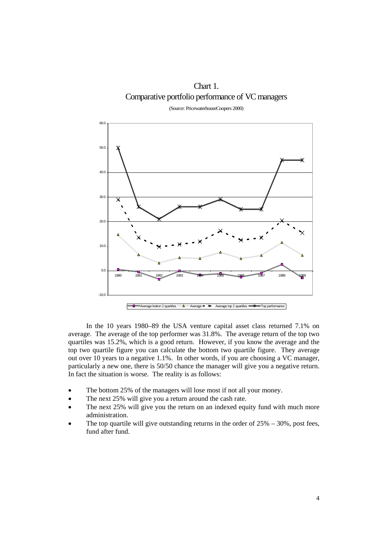Chart 1. Comparative portfolio performance of VC managers

(Source: PricewaterhouseCoopers 2000)



In the 10 years 1980–89 the USA venture capital asset class returned 7.1% on average. The average of the top performer was 31.8%. The average return of the top two quartiles was 15.2%, which is a good return. However, if you know the average and the top two quartile figure you can calculate the bottom two quartile figure. They average out over 10 years to a negative 1.1%. In other words, if you are choosing a VC manager, particularly a new one, there is 50/50 chance the manager will give you a negative return. In fact the situation is worse. The reality is as follows:

- The bottom 25% of the managers will lose most if not all your money.
- The next 25% will give you a return around the cash rate.
- The next 25% will give you the return on an indexed equity fund with much more administration.
- The top quartile will give outstanding returns in the order of  $25\% 30\%$ , post fees, fund after fund.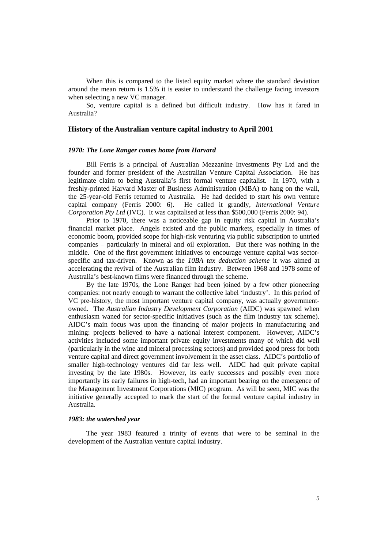When this is compared to the listed equity market where the standard deviation around the mean return is 1.5% it is easier to understand the challenge facing investors when selecting a new VC manager.

So, venture capital is a defined but difficult industry. How has it fared in Australia?

#### **History of the Australian venture capital industry to April 2001**

#### *1970: The Lone Ranger comes home from Harvard*

Bill Ferris is a principal of Australian Mezzanine Investments Pty Ltd and the founder and former president of the Australian Venture Capital Association. He has legitimate claim to being Australia's first formal venture capitalist. In 1970, with a freshly-printed Harvard Master of Business Administration (MBA) to hang on the wall, the 25-year-old Ferris returned to Australia. He had decided to start his own venture capital company (Ferris 2000: 6). He called it grandly, *International Venture Corporation Pty Ltd* (IVC). It was capitalised at less than \$500,000 (Ferris 2000: 94).

Prior to 1970, there was a noticeable gap in equity risk capital in Australia's financial market place. Angels existed and the public markets, especially in times of economic boom, provided scope for high-risk venturing via public subscription to untried companies – particularly in mineral and oil exploration. But there was nothing in the middle. One of the first government initiatives to encourage venture capital was sectorspecific and tax-driven. Known as the *10BA tax deduction scheme* it was aimed at accelerating the revival of the Australian film industry. Between 1968 and 1978 some of Australia's best-known films were financed through the scheme.

By the late 1970s, the Lone Ranger had been joined by a few other pioneering companies: not nearly enough to warrant the collective label 'industry'. In this period of VC pre-history, the most important venture capital company, was actually governmentowned. The *Australian Industry Development Corporation* (AIDC) was spawned when enthusiasm waned for sector-specific initiatives (such as the film industry tax scheme). AIDC's main focus was upon the financing of major projects in manufacturing and mining: projects believed to have a national interest component. However, AIDC's activities included some important private equity investments many of which did well (particularly in the wine and mineral processing sectors) and provided good press for both venture capital and direct government involvement in the asset class. AIDC's portfolio of smaller high-technology ventures did far less well. AIDC had quit private capital investing by the late 1980s. However, its early successes and possibly even more importantly its early failures in high-tech, had an important bearing on the emergence of the Management Investment Corporations (MIC) program. As will be seen, MIC was the initiative generally accepted to mark the start of the formal venture capital industry in Australia.

#### *1983: the watershed year*

The year 1983 featured a trinity of events that were to be seminal in the development of the Australian venture capital industry.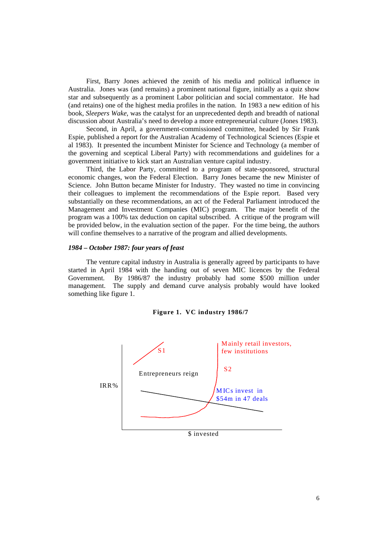First, Barry Jones achieved the zenith of his media and political influence in Australia. Jones was (and remains) a prominent national figure, initially as a quiz show star and subsequently as a prominent Labor politician and social commentator. He had (and retains) one of the highest media profiles in the nation. In 1983 a new edition of his book, *Sleepers Wake*, was the catalyst for an unprecedented depth and breadth of national discussion about Australia's need to develop a more entrepreneurial culture (Jones 1983).

Second, in April, a government-commissioned committee, headed by Sir Frank Espie, published a report for the Australian Academy of Technological Sciences (Espie et al 1983). It presented the incumbent Minister for Science and Technology (a member of the governing and sceptical Liberal Party) with recommendations and guidelines for a government initiative to kick start an Australian venture capital industry.

Third, the Labor Party, committed to a program of state-sponsored, structural economic changes, won the Federal Election. Barry Jones became the new Minister of Science. John Button became Minister for Industry. They wasted no time in convincing their colleagues to implement the recommendations of the Espie report. Based very substantially on these recommendations, an act of the Federal Parliament introduced the Management and Investment Companies (MIC) program. The major benefit of the program was a 100% tax deduction on capital subscribed. A critique of the program will be provided below, in the evaluation section of the paper. For the time being, the authors will confine themselves to a narrative of the program and allied developments.

#### *1984 – October 1987: four years of feast*

The venture capital industry in Australia is generally agreed by participants to have started in April 1984 with the handing out of seven MIC licences by the Federal Government. By 1986/87 the industry probably had some \$500 million under management. The supply and demand curve analysis probably would have looked something like figure 1.



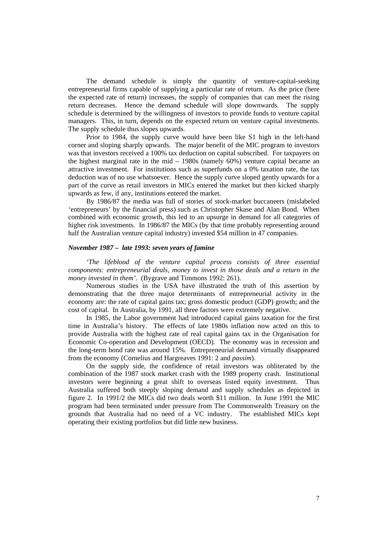The demand schedule is simply the quantity of venture-capital-seeking entrepreneurial firms capable of supplying a particular rate of return. As the price (here the expected rate of return) increases, the supply of companies that can meet the rising return decreases. Hence the demand schedule will slope downwards. The supply schedule is determined by the willingness of investors to provide funds to venture capital managers. This, in turn, depends on the expected return on venture capital investments. The supply schedule thus slopes upwards.

Prior to 1984, the supply curve would have been like S1 high in the left-hand corner and sloping sharply upwards. The major benefit of the MIC program to investors was that investors received a 100% tax deduction on capital subscribed. For taxpayers on the highest marginal rate in the mid – 1980s (namely 60%) venture capital became an attractive investment. For institutions such as superfunds on a 0% taxation rate, the tax deduction was of no use whatsoever. Hence the supply curve sloped gently upwards for a part of the curve as retail investors in MICs entered the market but then kicked sharply upwards as few, if any, institutions entered the market.

By 1986/87 the media was full of stories of stock-market buccaneers (mislabeled 'entrepreneurs' by the financial press) such as Christopher Skase and Alan Bond. When combined with economic growth, this led to an upsurge in demand for all categories of higher risk investments. In 1986/87 the MICs (by that time probably representing around half the Australian venture capital industry) invested \$54 million in 47 companies.

#### *November 1987 – late 1993: seven years of famine*

*'The lifeblood of the venture capital process consists of three essential components: entrepreneurial deals, money to invest in those deals and a return in the money invested in them'.* (Bygrave and Timmons 1992: 261).

Numerous studies in the USA have illustrated the truth of this assertion by demonstrating that the three major determinants of entrepreneurial activity in the economy are: the rate of capital gains tax; gross domestic product (GDP) growth; and the cost of capital. In Australia, by 1991, all three factors were extremely negative.

In 1985, the Labor government had introduced capital gains taxation for the first time in Australia's history. The effects of late 1980s inflation now acted on this to provide Australia with the highest rate of real capital gains tax in the Organisation for Economic Co-operation and Development (OECD). The economy was in recession and the long-term bond rate was around 15%. Entrepreneurial demand virtually disappeared from the economy (Cornelius and Hargreaves 1991: 2 and *passim*).

On the supply side, the confidence of retail investors was obliterated by the combination of the 1987 stock market crash with the 1989 property crash. Institutional investors were beginning a great shift to overseas listed equity investment. Thus Australia suffered both steeply sloping demand and supply schedules as depicted in figure 2. In 1991/2 the MICs did two deals worth \$11 million. In June 1991 the MIC program had been terminated under pressure from The Commonwealth Treasury on the grounds that Australia had no need of a VC industry. The established MICs kept operating their existing portfolios but did little new business.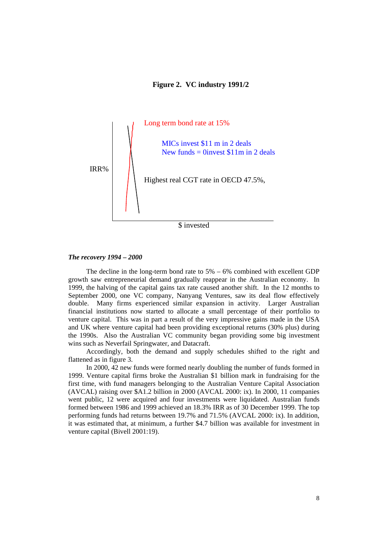#### **Figure 2. VC industry 1991/2**



#### *The recovery 1994 – 2000*

The decline in the long-term bond rate to 5% – 6% combined with excellent GDP growth saw entrepreneurial demand gradually reappear in the Australian economy. In 1999, the halving of the capital gains tax rate caused another shift. In the 12 months to September 2000, one VC company, Nanyang Ventures, saw its deal flow effectively double. Many firms experienced similar expansion in activity. Larger Australian financial institutions now started to allocate a small percentage of their portfolio to venture capital. This was in part a result of the very impressive gains made in the USA and UK where venture capital had been providing exceptional returns (30% plus) during the 1990s. Also the Australian VC community began providing some big investment wins such as Neverfail Springwater, and Datacraft.

 Accordingly, both the demand and supply schedules shifted to the right and flattened as in figure 3.

 In 2000, 42 new funds were formed nearly doubling the number of funds formed in 1999. Venture capital firms broke the Australian \$1 billion mark in fundraising for the first time, with fund managers belonging to the Australian Venture Capital Association (AVCAL) raising over \$A1.2 billion in 2000 (AVCAL 2000: ix). In 2000, 11 companies went public, 12 were acquired and four investments were liquidated. Australian funds formed between 1986 and 1999 achieved an 18.3% IRR as of 30 December 1999. The top performing funds had returns between 19.7% and 71.5% (AVCAL 2000: ix). In addition, it was estimated that, at minimum, a further \$4.7 billion was available for investment in venture capital (Bivell 2001:19).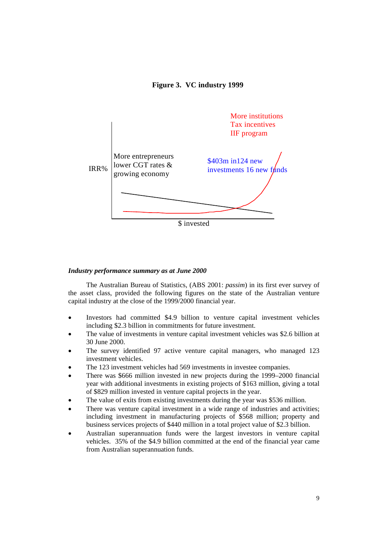#### **Figure 3. VC industry 1999**



#### *Industry performance summary as at June 2000*

 The Australian Bureau of Statistics, (ABS 2001: *passim*) in its first ever survey of the asset class, provided the following figures on the state of the Australian venture capital industry at the close of the 1999/2000 financial year.

- Investors had committed \$4.9 billion to venture capital investment vehicles including \$2.3 billion in commitments for future investment.
- The value of investments in venture capital investment vehicles was \$2.6 billion at 30 June 2000.
- The survey identified 97 active venture capital managers, who managed 123 investment vehicles.
- The 123 investment vehicles had 569 investments in investee companies.
- There was \$666 million invested in new projects during the 1999–2000 financial year with additional investments in existing projects of \$163 million, giving a total of \$829 million invested in venture capital projects in the year.
- The value of exits from existing investments during the year was \$536 million.
- There was venture capital investment in a wide range of industries and activities; including investment in manufacturing projects of \$568 million; property and business services projects of \$440 million in a total project value of \$2.3 billion.
- Australian superannuation funds were the largest investors in venture capital vehicles. 35% of the \$4.9 billion committed at the end of the financial year came from Australian superannuation funds.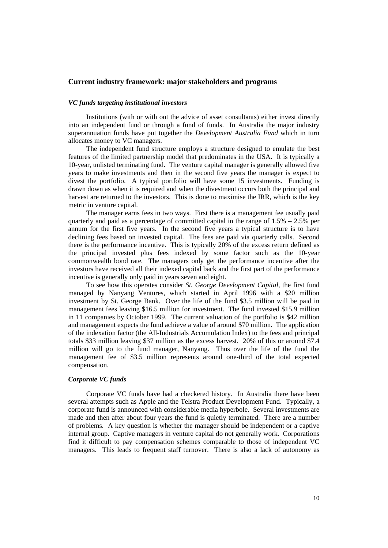#### **Current industry framework: major stakeholders and programs**

#### *VC funds targeting institutional investors*

Institutions (with or with out the advice of asset consultants) either invest directly into an independent fund or through a fund of funds. In Australia the major industry superannuation funds have put together the *Development Australia Fund* which in turn allocates money to VC managers.

The independent fund structure employs a structure designed to emulate the best features of the limited partnership model that predominates in the USA. It is typically a 10-year, unlisted terminating fund. The venture capital manager is generally allowed five years to make investments and then in the second five years the manager is expect to divest the portfolio. A typical portfolio will have some 15 investments. Funding is drawn down as when it is required and when the divestment occurs both the principal and harvest are returned to the investors. This is done to maximise the IRR, which is the key metric in venture capital.

The manager earns fees in two ways. First there is a management fee usually paid quarterly and paid as a percentage of committed capital in the range of  $1.5% - 2.5%$  per annum for the first five years. In the second five years a typical structure is to have declining fees based on invested capital. The fees are paid via quarterly calls. Second there is the performance incentive. This is typically 20% of the excess return defined as the principal invested plus fees indexed by some factor such as the 10-year commonwealth bond rate. The managers only get the performance incentive after the investors have received all their indexed capital back and the first part of the performance incentive is generally only paid in years seven and eight.

To see how this operates consider *St. George Development Capital*, the first fund managed by Nanyang Ventures, which started in April 1996 with a \$20 million investment by St. George Bank. Over the life of the fund \$3.5 million will be paid in management fees leaving \$16.5 million for investment. The fund invested \$15.9 million in 11 companies by October 1999. The current valuation of the portfolio is \$42 million and management expects the fund achieve a value of around \$70 million. The application of the indexation factor (the All-Industrials Accumulation Index) to the fees and principal totals \$33 million leaving \$37 million as the excess harvest. 20% of this or around \$7.4 million will go to the fund manager, Nanyang. Thus over the life of the fund the management fee of \$3.5 million represents around one-third of the total expected compensation.

#### *Corporate VC funds*

Corporate VC funds have had a checkered history. In Australia there have been several attempts such as Apple and the Telstra Product Development Fund. Typically, a corporate fund is announced with considerable media hyperbole. Several investments are made and then after about four years the fund is quietly terminated. There are a number of problems. A key question is whether the manager should be independent or a captive internal group. Captive managers in venture capital do not generally work. Corporations find it difficult to pay compensation schemes comparable to those of independent VC managers. This leads to frequent staff turnover. There is also a lack of autonomy as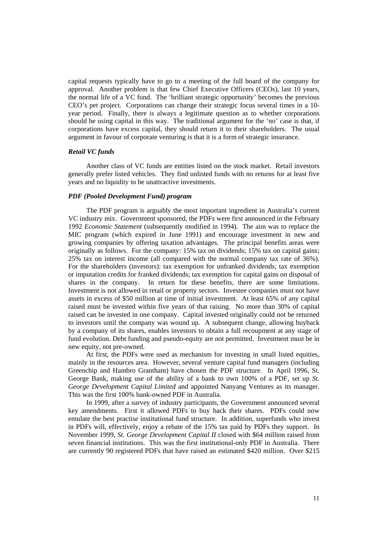capital requests typically have to go to a meeting of the full board of the company for approval. Another problem is that few Chief Executive Officers (CEOs), last 10 years, the normal life of a VC fund. The 'brilliant strategic opportunity' becomes the previous CEO's pet project. Corporations can change their strategic focus several times in a 10 year period. Finally, there is always a legitimate question as to whether corporations should be using capital in this way. The traditional argument for the 'no' case is that, if corporations have excess capital, they should return it to their shareholders. The usual argument in favour of corporate venturing is that it is a form of strategic insurance.

#### *Retail VC funds*

Another class of VC funds are entities listed on the stock market. Retail investors generally prefer listed vehicles. They find unlisted funds with no returns for at least five years and no liquidity to be unattractive investments.

#### *PDF (Pooled Development Fund) program*

The PDF program is arguably the most important ingredient in Australia's current VC industry mix. Government sponsored, the PDFs were first announced in the February 1992 *Economic Statement* (subsequently modified in 1994). The aim was to replace the MIC program (which expired in June 1991) and encourage investment in new and growing companies by offering taxation advantages. The principal benefits areas were originally as follows. For the company: 15% tax on dividends; 15% tax on capital gains; 25% tax on interest income (all compared with the normal company tax rate of 36%). For the shareholders (investors): tax exemption for unfranked dividends; tax exemption or imputation credits for franked dividends; tax exemption for capital gains on disposal of shares in the company. In return for these benefits, there are some limitations. Investment is not allowed in retail or property sectors. Investee companies must not have assets in excess of \$50 million at time of initial investment. At least 65% of any capital raised must be invested within five years of that raising. No more than 30% of capital raised can be invested in one company. Capital invested originally could not be returned to investors until the company was wound up. A subsequent change, allowing buyback by a company of its shares, enables investors to obtain a full recoupment at any stage of fund evolution. Debt funding and pseudo-equity are not permitted. Investment must be in new equity, not pre-owned.

At first, the PDFs were used as mechanism for investing in small listed equities, mainly in the resources area. However, several venture capital fund managers (including Greenchip and Hambro Grantham) have chosen the PDF structure. In April 1996, St. George Bank, making use of the ability of a bank to own 100% of a PDF, set up *St. George Development Capital Limited* and appointed Nanyang Ventures as its manager. This was the first 100% bank-owned PDF in Australia.

In 1999, after a survey of industry participants, the Government announced several key amendments. First it allowed PDFs to buy back their shares. PDFs could now emulate the best practise institutional fund structure. In addition, superfunds who invest in PDFs will, effectively, enjoy a rebate of the 15% tax paid by PDFs they support. In November 1999, *St. George Development Capital II* closed with \$64 million raised from seven financial institutions. This was the first institutional-only PDF in Australia. There are currently 90 registered PDFs that have raised an estimated \$420 million. Over \$215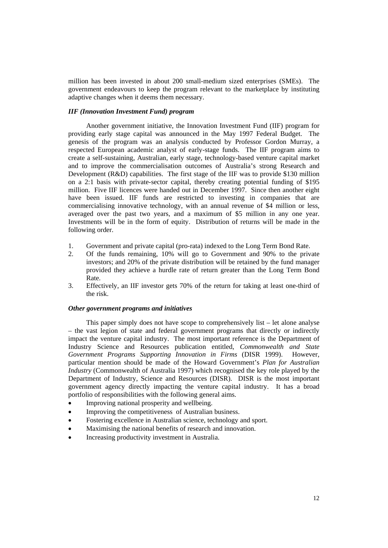million has been invested in about 200 small-medium sized enterprises (SMEs). The government endeavours to keep the program relevant to the marketplace by instituting adaptive changes when it deems them necessary.

#### *IIF (Innovation Investment Fund) program*

Another government initiative, the Innovation Investment Fund (IIF) program for providing early stage capital was announced in the May 1997 Federal Budget. The genesis of the program was an analysis conducted by Professor Gordon Murray, a respected European academic analyst of early-stage funds. The IIF program aims to create a self-sustaining, Australian, early stage, technology-based venture capital market and to improve the commercialisation outcomes of Australia's strong Research and Development (R&D) capabilities. The first stage of the IIF was to provide \$130 million on a 2:1 basis with private-sector capital, thereby creating potential funding of \$195 million. Five IIF licences were handed out in December 1997. Since then another eight have been issued. IIF funds are restricted to investing in companies that are commercialising innovative technology, with an annual revenue of \$4 million or less, averaged over the past two years, and a maximum of \$5 million in any one year. Investments will be in the form of equity. Distribution of returns will be made in the following order.

- 1. Government and private capital (pro-rata) indexed to the Long Term Bond Rate.
- 2. Of the funds remaining, 10% will go to Government and 90% to the private investors; and 20% of the private distribution will be retained by the fund manager provided they achieve a hurdle rate of return greater than the Long Term Bond Rate.
- 3. Effectively, an IIF investor gets 70% of the return for taking at least one-third of the risk.

#### *Other government programs and initiatives*

This paper simply does not have scope to comprehensively list – let alone analyse – the vast legion of state and federal government programs that directly or indirectly impact the venture capital industry. The most important reference is the Department of Industry Science and Resources publication entitled, *Commonwealth and State Government Programs Supporting Innovation in Firms* (DISR 1999). However, particular mention should be made of the Howard Government's *Plan for Australian Industry* (Commonwealth of Australia 1997) which recognised the key role played by the Department of Industry, Science and Resources (DISR). DISR is the most important government agency directly impacting the venture capital industry. It has a broad portfolio of responsibilities with the following general aims.

- Improving national prosperity and wellbeing.
- Improving the competitiveness of Australian business.
- Fostering excellence in Australian science, technology and sport.
- Maximising the national benefits of research and innovation.
- Increasing productivity investment in Australia.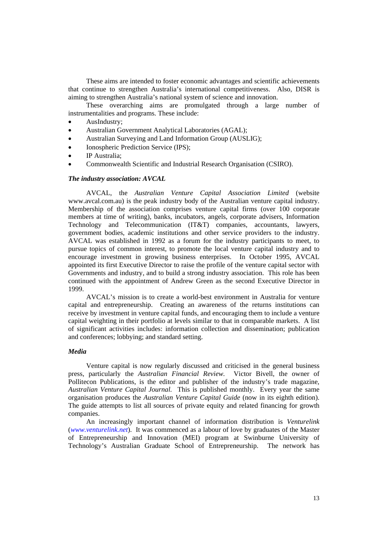These aims are intended to foster economic advantages and scientific achievements that continue to strengthen Australia's international competitiveness. Also, DISR is aiming to strengthen Australia's national system of science and innovation.

These overarching aims are promulgated through a large number of instrumentalities and programs. These include:

- AusIndustry;
- Australian Government Analytical Laboratories (AGAL);
- Australian Surveying and Land Information Group (AUSLIG);
- Ionospheric Prediction Service (IPS);
- IP Australia;
- Commonwealth Scientific and Industrial Research Organisation (CSIRO).

#### *The industry association: AVCAL*

AVCAL, the *Australian Venture Capital Association Limited* (website www.avcal.com.au) is the peak industry body of the Australian venture capital industry. Membership of the association comprises venture capital firms (over 100 corporate members at time of writing), banks, incubators, angels, corporate advisers, Information Technology and Telecommunication (IT&T) companies, accountants, lawyers, government bodies, academic institutions and other service providers to the industry. AVCAL was established in 1992 as a forum for the industry participants to meet, to pursue topics of common interest, to promote the local venture capital industry and to encourage investment in growing business enterprises. In October 1995, AVCAL appointed its first Executive Director to raise the profile of the venture capital sector with Governments and industry, and to build a strong industry association. This role has been continued with the appointment of Andrew Green as the second Executive Director in 1999.

AVCAL's mission is to create a world-best environment in Australia for venture capital and entrepreneurship. Creating an awareness of the returns institutions can receive by investment in venture capital funds, and encouraging them to include a venture capital weighting in their portfolio at levels similar to that in comparable markets. A list of significant activities includes: information collection and dissemination; publication and conferences; lobbying; and standard setting.

#### *Media*

Venture capital is now regularly discussed and criticised in the general business press, particularly the *Australian Financial Review.* Victor Bivell, the owner of Pollitecon Publications, is the editor and publisher of the industry's trade magazine, *Australian Venture Capital Journal.* This is published monthly. Every year the same organisation produces the *Australian Venture Capital Guide* (now in its eighth edition). The guide attempts to list all sources of private equity and related financing for growth companies.

An increasingly important channel of information distribution is *Venturelink*  (*www.venturelink.net*). It was commenced as a labour of love by graduates of the Master of Entrepreneurship and Innovation (MEI) program at Swinburne University of Technology's Australian Graduate School of Entrepreneurship. The network has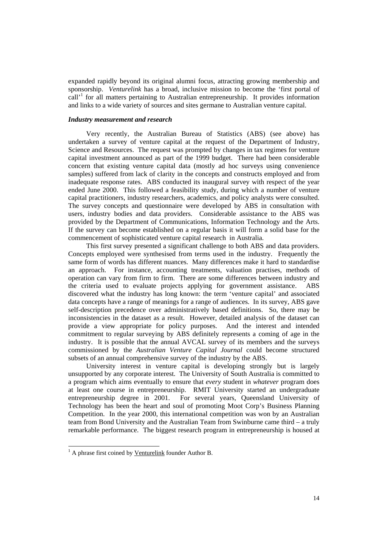expanded rapidly beyond its original alumni focus, attracting growing membership and sponsorship. *Venturelink* has a broad, inclusive mission to become the 'first portal of call<sup> $1$ </sup> for all matters pertaining to Australian entrepreneurship. It provides information and links to a wide variety of sources and sites germane to Australian venture capital.

#### *Industry measurement and research*

Very recently, the Australian Bureau of Statistics (ABS) (see above) has undertaken a survey of venture capital at the request of the Department of Industry, Science and Resources. The request was prompted by changes in tax regimes for venture capital investment announced as part of the 1999 budget. There had been considerable concern that existing venture capital data (mostly ad hoc surveys using convenience samples) suffered from lack of clarity in the concepts and constructs employed and from inadequate response rates. ABS conducted its inaugural survey with respect of the year ended June 2000. This followed a feasibility study, during which a number of venture capital practitioners, industry researchers, academics, and policy analysts were consulted. The survey concepts and questionnaire were developed by ABS in consultation with users, industry bodies and data providers. Considerable assistance to the ABS was provided by the Department of Communications, Information Technology and the Arts. If the survey can become established on a regular basis it will form a solid base for the commencement of sophisticated venture capital research in Australia.

This first survey presented a significant challenge to both ABS and data providers. Concepts employed were synthesised from terms used in the industry. Frequently the same form of words has different nuances. Many differences make it hard to standardise an approach. For instance, accounting treatments, valuation practises, methods of operation can vary from firm to firm. There are some differences between industry and the criteria used to evaluate projects applying for government assistance. ABS discovered what the industry has long known: the term 'venture capital' and associated data concepts have a range of meanings for a range of audiences. In its survey, ABS gave self-description precedence over administratively based definitions. So, there may be inconsistencies in the dataset as a result. However, detailed analysis of the dataset can provide a view appropriate for policy purposes. And the interest and intended commitment to regular surveying by ABS definitely represents a coming of age in the industry. It is possible that the annual AVCAL survey of its members and the surveys commissioned by the *Australian Venture Capital Journal* could become structured subsets of an annual comprehensive survey of the industry by the ABS.

University interest in venture capital is developing strongly but is largely unsupported by any corporate interest. The University of South Australia is committed to a program which aims eventually to ensure that *every* student in *whatever* program does at least one course in entrepreneurship. RMIT University started an undergraduate entrepreneurship degree in 2001. For several years, Oueensland University of Technology has been the heart and soul of promoting Moot Corp's Business Planning Competition. In the year 2000, this international competition was won by an Australian team from Bond University and the Australian Team from Swinburne came third – a truly remarkable performance. The biggest research program in entrepreneurship is housed at

<sup>&</sup>lt;sup>1</sup> A phrase first coined by <u>Venturelink</u> founder Author B.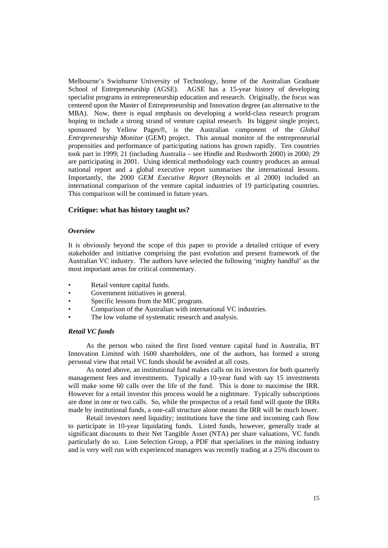Melbourne's Swinburne University of Technology, home of the Australian Graduate School of Entrepreneurship (AGSE). AGSE has a 15-year history of developing specialist programs in entrepreneurship education and research. Originally, the focus was centered upon the Master of Entrepreneurship and Innovation degree (an alternative to the MBA). Now, there is equal emphasis on developing a world-class research program hoping to include a strong strand of venture capital research. Its biggest single project, sponsored by Yellow Pages®, is the Australian component of the *Global Entrepreneurship Monitor* (GEM) project. This annual monitor of the entrepreneurial propensities and performance of participating nations has grown rapidly. Ten countries took part in 1999; 21 (including Australia – see Hindle and Rushworth 2000) in 2000; 29 are participating in 2001. Using identical methodology each country produces an annual national report and a global executive report summarises the international lessons. Importantly, the 2000 *GEM Executive Report* (Reynolds et al 2000) included an international comparison of the venture capital industries of 19 participating countries. This comparison will be continued in future years.

#### **Critique: what has history taught us?**

#### *Overview*

It is obviously beyond the scope of this paper to provide a detailed critique of every stakeholder and initiative comprising the past evolution and present framework of the Australian VC industry. The authors have selected the following 'mighty handful' as the most important areas for critical commentary.

- Retail venture capital funds.
- Government initiatives in general.
- Specific lessons from the MIC program.
- Comparison of the Australian with international VC industries.
- The low volume of systematic research and analysis.

#### *Retail VC funds*

As the person who raised the first listed venture capital fund in Australia, BT Innovation Limited with 1600 shareholders, one of the authors, has formed a strong personal view that retail VC funds should be avoided at all costs.

As noted above, an institutional fund makes calls on its investors for both quarterly management fees and investments. Typically a 10-year fund with say 15 investments will make some 60 calls over the life of the fund. This is done to maximise the IRR. However for a retail investor this process would be a nightmare. Typically subscriptions are done in one or two calls. So, while the prospectus of a retail fund will quote the IRRs made by institutional funds, a one-call structure alone means the IRR will be much lower.

Retail investors need liquidity; institutions have the time and incoming cash flow to participate in 10-year liquidating funds. Listed funds, however, generally trade at significant discounts to their Net Tangible Asset (NTA) per share valuations, VC funds particularly do so. Lion Selection Group, a PDF that specialises in the mining industry and is very well run with experienced managers was recently trading at a 25% discount to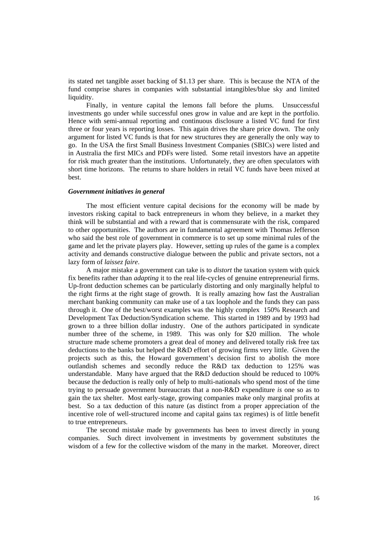its stated net tangible asset backing of \$1.13 per share. This is because the NTA of the fund comprise shares in companies with substantial intangibles/blue sky and limited liquidity.

Finally, in venture capital the lemons fall before the plums. Unsuccessful investments go under while successful ones grow in value and are kept in the portfolio. Hence with semi-annual reporting and continuous disclosure a listed VC fund for first three or four years is reporting losses. This again drives the share price down. The only argument for listed VC funds is that for new structures they are generally the only way to go. In the USA the first Small Business Investment Companies (SBICs) were listed and in Australia the first MICs and PDFs were listed. Some retail investors have an appetite for risk much greater than the institutions. Unfortunately, they are often speculators with short time horizons. The returns to share holders in retail VC funds have been mixed at best.

#### *Government initiatives in general*

The most efficient venture capital decisions for the economy will be made by investors risking capital to back entrepreneurs in whom they believe, in a market they think will be substantial and with a reward that is commensurate with the risk, compared to other opportunities. The authors are in fundamental agreement with Thomas Jefferson who said the best role of government in commerce is to set up some minimal rules of the game and let the private players play. However, setting up rules of the game is a complex activity and demands constructive dialogue between the public and private sectors, not a lazy form of *laissez faire*.

A major mistake a government can take is to *distort* the taxation system with quick fix benefits rather than *adapting* it to the real life-cycles of genuine entrepreneurial firms. Up-front deduction schemes can be particularly distorting and only marginally helpful to the right firms at the right stage of growth. It is really amazing how fast the Australian merchant banking community can make use of a tax loophole and the funds they can pass through it. One of the best/worst examples was the highly complex 150% Research and Development Tax Deduction/Syndication scheme. This started in 1989 and by 1993 had grown to a three billion dollar industry. One of the authors participated in syndicate number three of the scheme, in 1989. This was only for \$20 million. The whole structure made scheme promoters a great deal of money and delivered totally risk free tax deductions to the banks but helped the R&D effort of growing firms very little. Given the projects such as this, the Howard government's decision first to abolish the more outlandish schemes and secondly reduce the R&D tax deduction to 125% was understandable. Many have argued that the R&D deduction should be reduced to 100% because the deduction is really only of help to multi-nationals who spend most of the time trying to persuade government bureaucrats that a non-R&D expenditure *is* one so as to gain the tax shelter. Most early-stage, growing companies make only marginal profits at best. So a tax deduction of this nature (as distinct from a proper appreciation of the incentive role of well-structured income and capital gains tax regimes) is of little benefit to true entrepreneurs.

The second mistake made by governments has been to invest directly in young companies. Such direct involvement in investments by government substitutes the wisdom of a few for the collective wisdom of the many in the market. Moreover, direct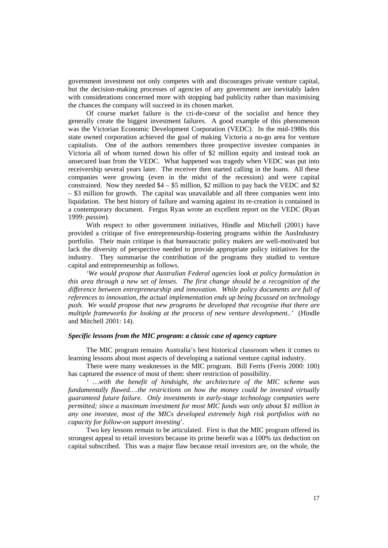government investment not only competes with and discourages private venture capital, but the decision-making processes of agencies of any government are inevitably laden with considerations concerned more with stopping bad publicity rather than maximising the chances the company will succeed in its chosen market.

Of course market failure is the cri-de-coeur of the socialist and hence they generally create the biggest investment failures. A good example of this phenomenon was the Victorian Economic Development Corporation (VEDC). In the mid-1980s this state owned corporation achieved the goal of making Victoria a no-go area for venture capitalists. One of the authors remembers three prospective investee companies in Victoria all of whom turned down his offer of \$2 million equity and instead took an unsecured loan from the VEDC. What happened was tragedy when VEDC was put into receivership several years later. The receiver then started calling in the loans. All these companies were growing (even in the midst of the recession) and were capital constrained. Now they needed \$4 – \$5 million, \$2 million to pay back the VEDC and \$2 – \$3 million for growth. The capital was unavailable and all three companies went into liquidation. The best history of failure and warning against its re-creation is contained in a contemporary document. Fergus Ryan wrote an excellent report on the VEDC (Ryan 1999: *passim*).

With respect to other government initiatives, Hindle and Mitchell (2001) have provided a critique of five entrepreneurship-fostering programs within the AusIndustry portfolio. Their main critique is that bureaucratic policy makers are well-motivated but lack the diversity of perspective needed to provide appropriate policy initiatives for the industry. They summarise the contribution of the programs they studied to venture capital and entrepreneurship as follows.

*'We would propose that Australian Federal agencies look at policy formulation in this area through a new set of lenses. The first change should be a recognition of the difference between entrepreneurship and innovation. While policy documents are full of references to innovation, the actual implementation ends up being focussed on technology push. We would propose that new programs be developed that recognise that there are multiple frameworks for looking at the process of new venture development..'* (Hindle and Mitchell 2001: 14).

#### *Specific lessons from the MIC program: a classic case of agency capture*

The MIC program remains Australia's best historical classroom when it comes to learning lessons about most aspects of developing a national venture capital industry.

There were many weaknesses in the MIC program. Bill Ferris (Ferris 2000: 100) has captured the essence of most of them: sheer restriction of possibility.

*' …with the benefit of hindsight, the architecture of the MIC scheme was fundamentally flawed….the restrictions on how the money could be invested virtually guaranteed future failure. Only investments in early-stage technology companies were permitted; since a maximum investment for most MIC funds was only about \$1 million in any one investee, most of the MICs developed extremely high risk portfolios with no capacity for follow-on support investing*'.

Two key lessons remain to be articulated. First is that the MIC program offered its strongest appeal to retail investors because its prime benefit was a 100% tax deduction on capital subscribed. This was a major flaw because retail investors are, on the whole, the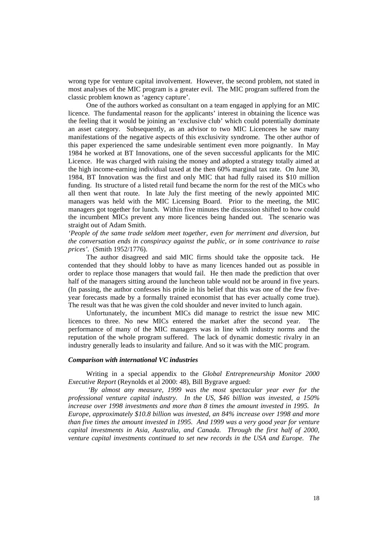wrong type for venture capital involvement. However, the second problem, not stated in most analyses of the MIC program is a greater evil. The MIC program suffered from the classic problem known as 'agency capture'.

One of the authors worked as consultant on a team engaged in applying for an MIC licence. The fundamental reason for the applicants' interest in obtaining the licence was the feeling that it would be joining an 'exclusive club' which could potentially dominate an asset category. Subsequently, as an advisor to two MIC Licencees he saw many manifestations of the negative aspects of this exclusivity syndrome. The other author of this paper experienced the same undesirable sentiment even more poignantly. In May 1984 he worked at BT Innovations, one of the seven successful applicants for the MIC Licence. He was charged with raising the money and adopted a strategy totally aimed at the high income-earning individual taxed at the then 60% marginal tax rate. On June 30, 1984, BT Innovation was the first and only MIC that had fully raised its \$10 million funding. Its structure of a listed retail fund became the norm for the rest of the MICs who all then went that route. In late July the first meeting of the newly appointed MIC managers was held with the MIC Licensing Board. Prior to the meeting, the MIC managers got together for lunch. Within five minutes the discussion shifted to how could the incumbent MICs prevent any more licences being handed out. The scenario was straight out of Adam Smith.

*'People of the same trade seldom meet together, even for merriment and diversion, but the conversation ends in conspiracy against the public, or in some contrivance to raise prices'.* (Smith 1952/1776).

The author disagreed and said MIC firms should take the opposite tack. He contended that they should lobby to have as many licences handed out as possible in order to replace those managers that would fail. He then made the prediction that over half of the managers sitting around the luncheon table would not be around in five years. (In passing, the author confesses his pride in his belief that this was one of the few fiveyear forecasts made by a formally trained economist that has ever actually come true). The result was that he was given the cold shoulder and never invited to lunch again.

Unfortunately, the incumbent MICs did manage to restrict the issue new MIC licences to three. No new MICs entered the market after the second year. The performance of many of the MIC managers was in line with industry norms and the reputation of the whole program suffered. The lack of dynamic domestic rivalry in an industry generally leads to insularity and failure. And so it was with the MIC program.

#### *Comparison with international VC industries*

Writing in a special appendix to the *Global Entrepreneurship Monitor 2000 Executive Report* (Reynolds et al 2000: 48), Bill Bygrave argued:

 *'By almost any measure, 1999 was the most spectacular year ever for the professional venture capital industry. In the US, \$46 billion was invested, a 150% increase over 1998 investments and more than 8 times the amount invested in 1995. In Europe, approximately \$10.8 billion was invested, an 84% increase over 1998 and more than five times the amount invested in 1995. And 1999 was a very good year for venture capital investments in Asia, Australia, and Canada. Through the first half of 2000, venture capital investments continued to set new records in the USA and Europe. The*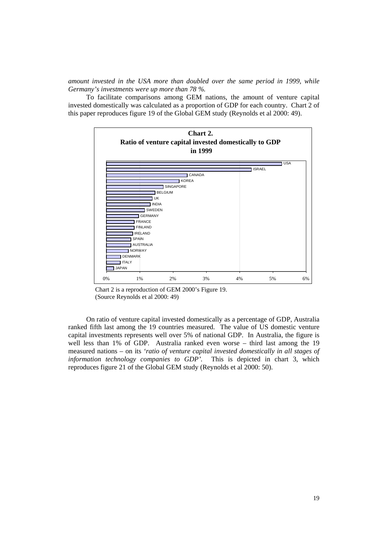*amount invested in the USA more than doubled over the same period in 1999, while Germany's investments were up more than 78 %.*

To facilitate comparisons among GEM nations, the amount of venture capital invested domestically was calculated as a proportion of GDP for each country. Chart 2 of this paper reproduces figure 19 of the Global GEM study (Reynolds et al 2000: 49).





On ratio of venture capital invested domestically as a percentage of GDP, Australia ranked fifth last among the 19 countries measured. The value of US domestic venture capital investments represents well over 5% of national GDP. In Australia, the figure is well less than 1% of GDP. Australia ranked even worse – third last among the 19 measured nations – on its *'ratio of venture capital invested domestically in all stages of information technology companies to GDP'.* This is depicted in chart 3, which reproduces figure 21 of the Global GEM study (Reynolds et al 2000: 50).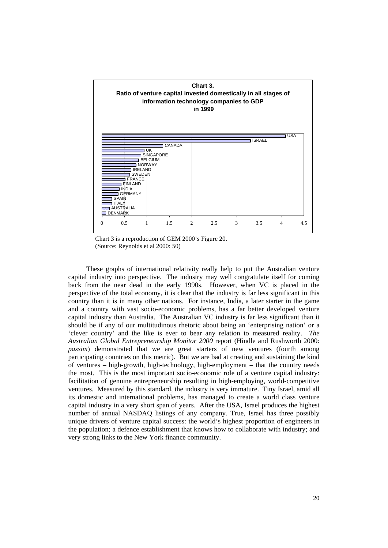

 Chart 3 is a reproduction of GEM 2000's Figure 20. (Source: Reynolds et al 2000: 50)

These graphs of international relativity really help to put the Australian venture capital industry into perspective. The industry may well congratulate itself for coming back from the near dead in the early 1990s. However, when VC is placed in the perspective of the total economy, it is clear that the industry is far less significant in this country than it is in many other nations. For instance, India, a later starter in the game and a country with vast socio-economic problems, has a far better developed venture capital industry than Australia. The Australian VC industry is far less significant than it should be if any of our multitudinous rhetoric about being an 'enterprising nation' or a 'clever country' and the like is ever to bear any relation to measured reality. *The Australian Global Entrepreneurship Monitor 2000* report (Hindle and Rushworth 2000: *passim*) demonstrated that we are great starters of new ventures (fourth among participating countries on this metric). But we are bad at creating and sustaining the kind of ventures – high-growth, high-technology, high-employment – that the country needs the most. This is the most important socio-economic role of a venture capital industry: facilitation of genuine entrepreneurship resulting in high-employing, world-competitive ventures. Measured by this standard, the industry is very immature. Tiny Israel, amid all its domestic and international problems, has managed to create a world class venture capital industry in a very short span of years. After the USA, Israel produces the highest number of annual NASDAQ listings of any company. True, Israel has three possibly unique drivers of venture capital success: the world's highest proportion of engineers in the population; a defence establishment that knows how to collaborate with industry; and very strong links to the New York finance community.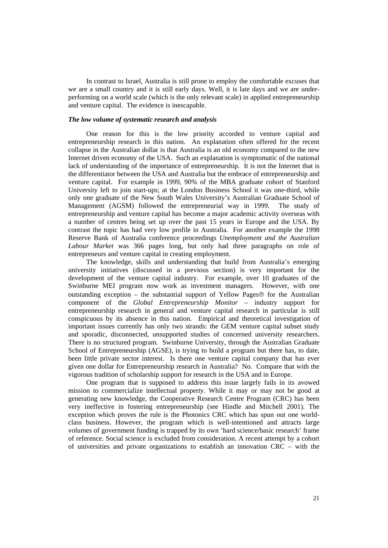In contrast to Israel, Australia is still prone to employ the comfortable excuses that we are a small country and it is still early days. Well, it is late days and we are underperforming on a world scale (which is the only relevant scale) in applied entrepreneurship and venture capital. The evidence is inescapable.

#### *The low volume of systematic research and analysis*

One reason for this is the low priority accorded to venture capital and entrepreneurship research in this nation. An explanation often offered for the recent collapse in the Australian dollar is that Australia is an old economy compared to the new Internet driven economy of the USA. Such an explanation is symptomatic of the national lack of understanding of the importance of entrepreneurship. It is not the Internet that is the differentiator between the USA and Australia but the embrace of entrepreneurship and venture capital. For example in 1999, 90% of the MBA graduate cohort of Stanford University left to join start-ups; at the London Business School it was one-third, while only one graduate of the New South Wales University's Australian Graduate School of Management (AGSM) followed the entrepreneurial way in 1999. The study of entrepreneurship and venture capital has become a major academic activity overseas with a number of centres being set up over the past 15 years in Europe and the USA. By contrast the topic has had very low profile in Australia. For another example the 1998 Reserve Bank of Australia conference proceedings *Unemployment and the Australian Labour Market* was 366 pages long, but only had three paragraphs on role of entrepreneurs and venture capital in creating employment.

The knowledge, skills and understanding that build from Australia's emerging university initiatives (discussed in a previous section) is very important for the development of the venture capital industry. For example, over 10 graduates of the Swinburne MEI program now work as investment managers. However, with one outstanding exception – the substantial support of Yellow Pages  $\circledR$  for the Australian component of the *Global Entrepreneurship Monitor* – industry support for entrepreneurship research in general and venture capital research in particular is still conspicuous by its absence in this nation. Empirical and theoretical investigation of important issues currently has only two strands: the GEM venture capital subset study and sporadic, disconnected, unsupported studies of concerned university researchers. There is no structured program. Swinburne University, through the Australian Graduate School of Entrepreneurship (AGSE), is trying to build a program but there has, to date, been little private sector interest. Is there one venture capital company that has ever given one dollar for Entrepreneurship research in Australia? No. Compare that with the vigorous tradition of scholarship support for research in the USA and in Europe.

One program that is supposed to address this issue largely fails in its avowed mission to commercialize intellectual property. While it may or may not be good at generating new knowledge, the Cooperative Research Centre Program (CRC) has been very ineffective in fostering entrepreneurship (see Hindle and Mitchell 2001). The exception which proves the rule is the Photonics CRC which has spun out one worldclass business. However, the program which is well-intentioned and attracts large volumes of government funding is trapped by its own 'hard science/basic research' frame of reference. Social science is excluded from consideration. A recent attempt by a cohort of universities and private organizations to establish an innovation CRC – with the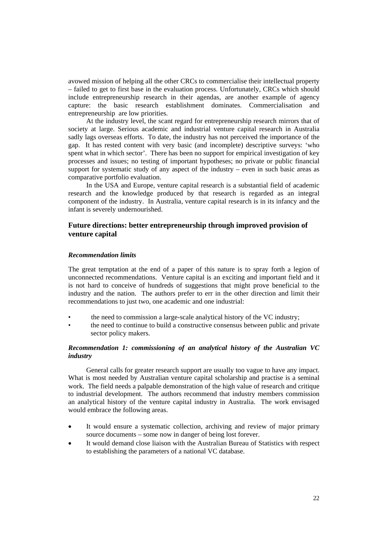avowed mission of helping all the other CRCs to commercialise their intellectual property – failed to get to first base in the evaluation process. Unfortunately, CRCs which should include entrepreneurship research in their agendas, are another example of agency capture: the basic research establishment dominates. Commercialisation and entrepreneurship are low priorities.

At the industry level, the scant regard for entrepreneurship research mirrors that of society at large. Serious academic and industrial venture capital research in Australia sadly lags overseas efforts. To date, the industry has not perceived the importance of the gap. It has rested content with very basic (and incomplete) descriptive surveys: 'who spent what in which sector'. There has been no support for empirical investigation of key processes and issues; no testing of important hypotheses; no private or public financial support for systematic study of any aspect of the industry – even in such basic areas as comparative portfolio evaluation.

In the USA and Europe, venture capital research is a substantial field of academic research and the knowledge produced by that research is regarded as an integral component of the industry. In Australia, venture capital research is in its infancy and the infant is severely undernourished.

#### **Future directions: better entrepreneurship through improved provision of venture capital**

#### *Recommendation limits*

The great temptation at the end of a paper of this nature is to spray forth a legion of unconnected recommendations. Venture capital is an exciting and important field and it is not hard to conceive of hundreds of suggestions that might prove beneficial to the industry and the nation. The authors prefer to err in the other direction and limit their recommendations to just two, one academic and one industrial:

- the need to commission a large-scale analytical history of the VC industry;
- the need to continue to build a constructive consensus between public and private sector policy makers.

#### *Recommendation 1: commissioning of an analytical history of the Australian VC industry*

General calls for greater research support are usually too vague to have any impact. What is most needed by Australian venture capital scholarship and practise is a seminal work. The field needs a palpable demonstration of the high value of research and critique to industrial development. The authors recommend that industry members commission an analytical history of the venture capital industry in Australia. The work envisaged would embrace the following areas.

- It would ensure a systematic collection, archiving and review of major primary source documents – some now in danger of being lost forever.
- It would demand close liaison with the Australian Bureau of Statistics with respect to establishing the parameters of a national VC database.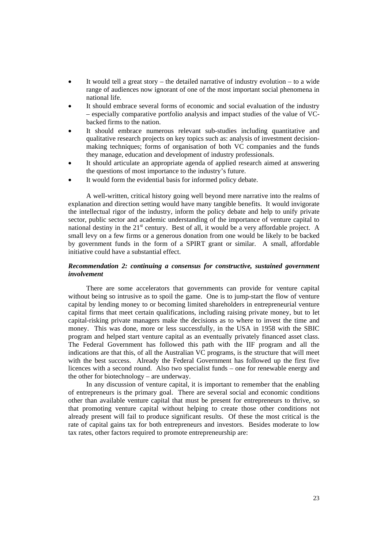- It would tell a great story the detailed narrative of industry evolution to a wide range of audiences now ignorant of one of the most important social phenomena in national life.
- It should embrace several forms of economic and social evaluation of the industry – especially comparative portfolio analysis and impact studies of the value of VCbacked firms to the nation.
- It should embrace numerous relevant sub-studies including quantitative and qualitative research projects on key topics such as: analysis of investment decisionmaking techniques; forms of organisation of both VC companies and the funds they manage, education and development of industry professionals.
- It should articulate an appropriate agenda of applied research aimed at answering the questions of most importance to the industry's future.
- It would form the evidential basis for informed policy debate.

A well-written, critical history going well beyond mere narrative into the realms of explanation and direction setting would have many tangible benefits. It would invigorate the intellectual rigor of the industry, inform the policy debate and help to unify private sector, public sector and academic understanding of the importance of venture capital to national destiny in the  $21<sup>st</sup>$  century. Best of all, it would be a very affordable project. A small levy on a few firms or a generous donation from one would be likely to be backed by government funds in the form of a SPIRT grant or similar. A small, affordable initiative could have a substantial effect.

#### *Recommendation 2: continuing a consensus for constructive, sustained government involvement*

There are some accelerators that governments can provide for venture capital without being so intrusive as to spoil the game. One is to jump-start the flow of venture capital by lending money to or becoming limited shareholders in entrepreneurial venture capital firms that meet certain qualifications, including raising private money, but to let capital-risking private managers make the decisions as to where to invest the time and money. This was done, more or less successfully, in the USA in 1958 with the SBIC program and helped start venture capital as an eventually privately financed asset class. The Federal Government has followed this path with the IIF program and all the indications are that this, of all the Australian VC programs, is the structure that will meet with the best success. Already the Federal Government has followed up the first five licences with a second round. Also two specialist funds – one for renewable energy and the other for biotechnology – are underway.

In any discussion of venture capital, it is important to remember that the enabling of entrepreneurs is the primary goal. There are several social and economic conditions other than available venture capital that must be present for entrepreneurs to thrive, so that promoting venture capital without helping to create those other conditions not already present will fail to produce significant results. Of these the most critical is the rate of capital gains tax for both entrepreneurs and investors. Besides moderate to low tax rates, other factors required to promote entrepreneurship are: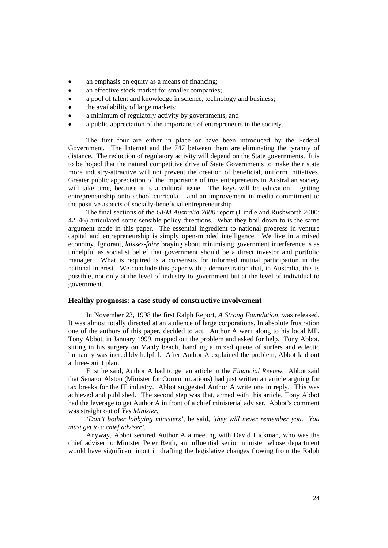- an emphasis on equity as a means of financing;
- an effective stock market for smaller companies;
- a pool of talent and knowledge in science, technology and business;
- the availability of large markets;
- a minimum of regulatory activity by governments, and
- a public appreciation of the importance of entrepreneurs in the society.

The first four are either in place or have been introduced by the Federal Government. The Internet and the 747 between them are eliminating the tyranny of distance. The reduction of regulatory activity will depend on the State governments. It is to be hoped that the natural competitive drive of State Governments to make their state more industry-attractive will not prevent the creation of beneficial, uniform initiatives. Greater public appreciation of the importance of true entrepreneurs in Australian society will take time, because it is a cultural issue. The keys will be education – getting entrepreneurship onto school curricula – and an improvement in media commitment to the positive aspects of socially-beneficial entrepreneurship.

The final sections of the *GEM Australia 2000* report (Hindle and Rushworth 2000: 42–46) articulated some sensible policy directions. What they boil down to is the same argument made in this paper. The essential ingredient to national progress in venture capital and entrepreneurship is simply open-minded intelligence. We live in a mixed economy. Ignorant, *laissez-faire* braying about minimising government interference is as unhelpful as socialist belief that government should be a direct investor and portfolio manager. What is required is a consensus for informed mutual participation in the national interest. We conclude this paper with a demonstration that, in Australia, this is possible, not only at the level of industry to government but at the level of individual to government.

#### **Healthy prognosis: a case study of constructive involvement**

In November 23, 1998 the first Ralph Report, *A Strong Foundation,* was released. It was almost totally directed at an audience of large corporations. In absolute frustration one of the authors of this paper, decided to act. Author A went along to his local MP, Tony Abbot, in January 1999, mapped out the problem and asked for help. Tony Abbot, sitting in his surgery on Manly beach, handling a mixed queue of surfers and eclectic humanity was incredibly helpful. After Author A explained the problem, Abbot laid out a three-point plan.

First he said, Author A had to get an article in the *Financial Review.* Abbot said that Senator Alston (Minister for Communications) had just written an article arguing for tax breaks for the IT industry. Abbot suggested Author A write one in reply. This was achieved and published. The second step was that, armed with this article, Tony Abbot had the leverage to get Author A in front of a chief ministerial adviser. Abbot's comment was straight out of *Yes Minister.* 

*'Don't bother lobbying ministers',* he said, *'they will never remember you. You must get to a chief adviser'.* 

Anyway, Abbot secured Author A a meeting with David Hickman, who was the chief adviser to Minister Peter Reith, an influential senior minister whose department would have significant input in drafting the legislative changes flowing from the Ralph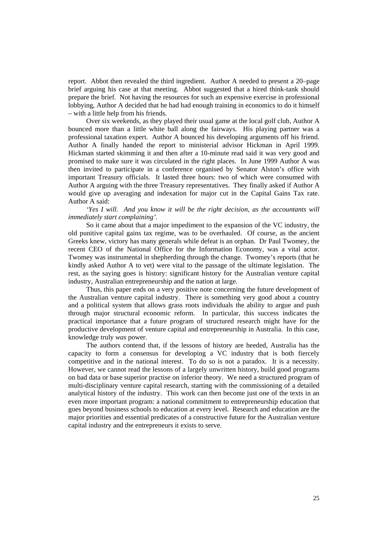report. Abbot then revealed the third ingredient. Author A needed to present a 20–page brief arguing his case at that meeting. Abbot suggested that a hired think-tank should prepare the brief. Not having the resources for such an expensive exercise in professional lobbying, Author A decided that he had had enough training in economics to do it himself – with a little help from his friends.

Over six weekends, as they played their usual game at the local golf club, Author A bounced more than a little white ball along the fairways. His playing partner was a professional taxation expert. Author A bounced his developing arguments off his friend. Author A finally handed the report to ministerial advisor Hickman in April 1999. Hickman started skimming it and then after a 10-minute read said it was very good and promised to make sure it was circulated in the right places. In June 1999 Author A was then invited to participate in a conference organised by Senator Alston's office with important Treasury officials. It lasted three hours: two of which were consumed with Author A arguing with the three Treasury representatives. They finally asked if Author A would give up averaging and indexation for major cut in the Capital Gains Tax rate. Author A said:

*'Yes I will. And you know it will be the right decision, as the accountants will immediately start complaining'.* 

So it came about that a major impediment to the expansion of the VC industry, the old punitive capital gains tax regime, was to be overhauled. Of course, as the ancient Greeks knew, victory has many generals while defeat is an orphan. Dr Paul Twomey, the recent CEO of the National Office for the Information Economy, was a vital actor. Twomey was instrumental in shepherding through the change. Twomey's reports (that he kindly asked Author A to vet) were vital to the passage of the ultimate legislation. The rest, as the saying goes is history: significant history for the Australian venture capital industry, Australian entrepreneurship and the nation at large.

Thus, this paper ends on a very positive note concerning the future development of the Australian venture capital industry. There is something very good about a country and a political system that allows grass roots individuals the ability to argue and push through major structural economic reform. In particular, this success indicates the practical importance that a future program of structured research might have for the productive development of venture capital and entrepreneurship in Australia. In this case, knowledge truly *was* power.

The authors contend that, if the lessons of history are heeded, Australia has the capacity to form a consensus for developing a VC industry that is both fiercely competitive and in the national interest. To do so is not a paradox. It is a necessity. However, we cannot read the lessons of a largely unwritten history, build good programs on bad data or base superior practise on inferior theory. We need a structured program of multi-disciplinary venture capital research, starting with the commissioning of a detailed analytical history of the industry. This work can then become just one of the texts in an even more important program: a national commitment to entrepreneurship education that goes beyond business schools to education at every level. Research and education are the major priorities and essential predicates of a constructive future for the Australian venture capital industry and the entrepreneurs it exists to serve.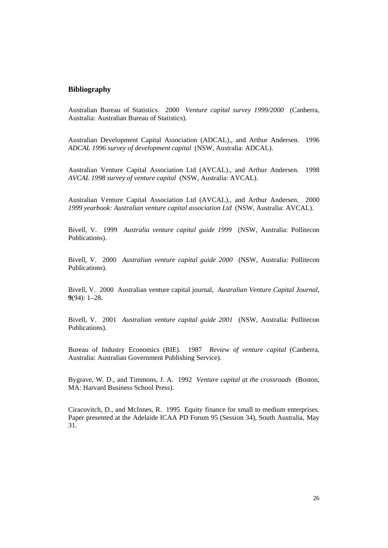#### **Bibliography**

Australian Bureau of Statistics. 2000 *Venture capital survey 1999/2000* (Canberra, Australia: Australian Bureau of Statistics).

Australian Development Capital Association (ADCAL)., and Arthur Andersen. 1996 *ADCAL 1996 survey of development capital* (NSW, Australia: ADCAL).

Australian Venture Capital Association Ltd (AVCAL)., and Arthur Andersen. 1998 *AVCAL 1998 survey of venture capital* (NSW, Australia: AVCAL).

Australian Venture Capital Association Ltd (AVCAL)., and Arthur Andersen. 2000 *1999 yearbook: Australian venture capital association Ltd* (NSW, Australia: AVCAL).

Bivell, V. 1999 *Australia venture capital guide 1999* (NSW, Australia: Pollitecon Publications).

Bivell, V. 2000 *Australian venture capital guide 2000* (NSW, Australia: Pollitecon Publications).

Bivell, V. 2000 Australian venture capital journal, *Australian Venture Capital Journal,* **9**(94): 1–28.

Bivell, V. 2001 *Australian venture capital guide 2001* (NSW, Australia: Pollitecon Publications).

Bureau of Industry Economics (BIE). 1987 *Review of venture capital* (Canberra, Australia: Australian Government Publishing Service).

Bygrave, W. D., and Timmons, J. A. 1992 *Venture capital at the crossroads* (Boston, MA: Harvard Business School Press).

Ciracovitch, D., and McInnes, R. 1995 Equity finance for small to medium enterprises. Paper presented at the Adelaide ICAA PD Forum 95 (Session 34), South Australia, May 31.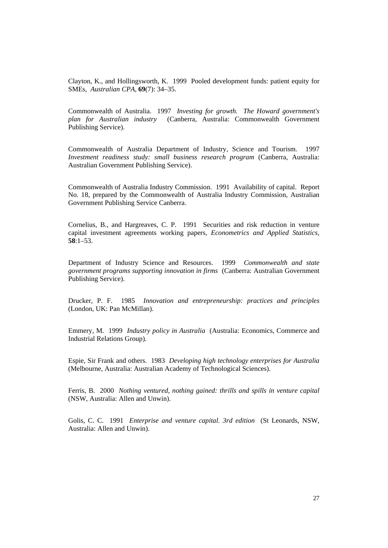Clayton, K., and Hollingsworth, K. 1999 Pooled development funds: patient equity for SMEs, *Australian CPA,* **69**(7): 34–35.

Commonwealth of Australia. 1997 *Investing for growth. The Howard government's plan for Australian industry* (Canberra, Australia: Commonwealth Government Publishing Service).

Commonwealth of Australia Department of Industry, Science and Tourism. 1997 *Investment readiness study: small business research program* (Canberra, Australia: Australian Government Publishing Service).

Commonwealth of Australia Industry Commission. 1991 Availability of capital. Report No. 18, prepared by the Commonwealth of Australia Industry Commission, Australian Government Publishing Service Canberra.

Cornelius, B., and Hargreaves, C. P. 1991 Securities and risk reduction in venture capital investment agreements working papers, *Econometrics and Applied Statistics,* **58**:1–53.

Department of Industry Science and Resources. 1999 *Commonwealth and state government programs supporting innovation in firms* (Canberra: Australian Government Publishing Service).

Drucker, P. F. 1985 *Innovation and entrepreneurship: practices and principles*  (London, UK: Pan McMillan).

Emmery, M. 1999 *Industry policy in Australia* (Australia: Economics, Commerce and Industrial Relations Group).

Espie, Sir Frank and others. 1983 *Developing high technology enterprises for Australia* (Melbourne, Australia: Australian Academy of Technological Sciences).

Ferris, B. 2000 *Nothing ventured, nothing gained: thrills and spills in venture capital* (NSW, Australia: Allen and Unwin).

Golis, C. C. 1991 *Enterprise and venture capital. 3rd edition* (St Leonards, NSW, Australia: Allen and Unwin).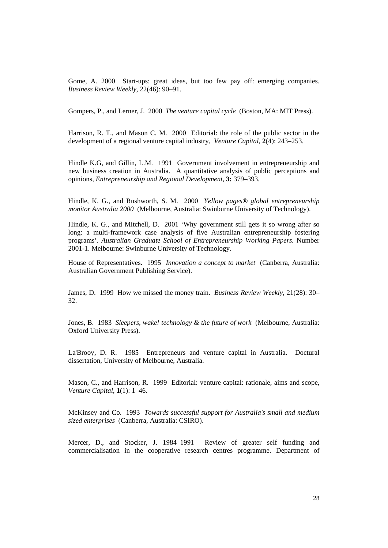Gome, A. 2000 Start-ups: great ideas, but too few pay off: emerging companies. *Business Review Weekly,* 22(46): 90–91.

Gompers, P., and Lerner, J. 2000 *The venture capital cycle* (Boston, MA: MIT Press).

Harrison, R. T., and Mason C. M. 2000 Editorial: the role of the public sector in the development of a regional venture capital industry, *Venture Capital,* **2**(4): 243–253.

Hindle K.G, and Gillin, L.M. 1991 Government involvement in entrepreneurship and new business creation in Australia. A quantitative analysis of public perceptions and opinions, *Entrepreneurship and Regional Development,* **3:** 379–393.

Hindle, K. G., and Rushworth, S. M. 2000 *Yellow pages® global entrepreneurship monitor Australia 2000* (Melbourne, Australia: Swinburne University of Technology).

Hindle, K. G., and Mitchell, D. 2001 'Why government still gets it so wrong after so long: a multi-framework case analysis of five Australian entrepreneurship fostering programs'. *Australian Graduate School of Entrepreneurship Working Papers.* Number 2001-1. Melbourne: Swinburne University of Technology.

House of Representatives. 1995 *Innovation a concept to market* (Canberra, Australia: Australian Government Publishing Service).

James, D. 1999 How we missed the money train. *Business Review Weekly,* 21(28): 30– 32.

Jones, B. 1983 *Sleepers, wake! technology & the future of work* (Melbourne, Australia: Oxford University Press).

La'Brooy, D. R. 1985 Entrepreneurs and venture capital in Australia. Doctural dissertation, University of Melbourne, Australia.

Mason, C., and Harrison, R. 1999 Editorial: venture capital: rationale, aims and scope, *Venture Capital,* **1**(1): 1–46.

McKinsey and Co. 1993 *Towards successful support for Australia's small and medium sized enterprises* (Canberra, Australia: CSIRO).

Mercer, D., and Stocker, J. 1984–1991 Review of greater self funding and commercialisation in the cooperative research centres programme. Department of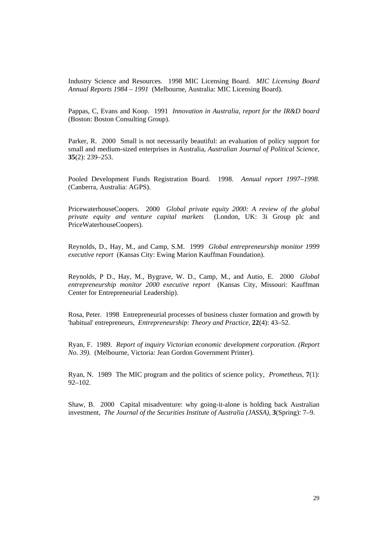Industry Science and Resources. 1998 MIC Licensing Board. *MIC Licensing Board Annual Reports 1984 – 1991* (Melbourne, Australia: MIC Licensing Board).

Pappas, C, Evans and Koop. 1991 *Innovation in Australia, report for the IR&D board* (Boston: Boston Consulting Group).

Parker, R. 2000 Small is not necessarily beautiful: an evaluation of policy support for small and medium-sized enterprises in Australia, *Australian Journal of Political Science,* **35**(2): 239–253.

Pooled Development Funds Registration Board. 1998. *Annual report 1997–1998.* (Canberra, Australia: AGPS).

PricewaterhouseCoopers. 2000 *Global private equity 2000: A review of the global private equity and venture capital markets* (London, UK: 3i Group plc and PriceWaterhouseCoopers).

Reynolds, D., Hay, M., and Camp, S.M. 1999 *Global entrepreneurship monitor 1999 executive report* (Kansas City: Ewing Marion Kauffman Foundation).

Reynolds, P D., Hay, M., Bygrave, W. D., Camp, M., and Autio, E. 2000 *Global entrepreneurship monitor 2000 executive report* (Kansas City, Missouri: Kauffman Center for Entrepreneurial Leadership).

Rosa, Peter. 1998 Entrepreneurial processes of business cluster formation and growth by 'habitual' entrepreneurs, *Entrepreneurship: Theory and Practice,* **22**(4): 43–52.

Ryan, F. 1989. *Report of inquiry Victorian economic development corporation. (Report No. 39).* (Melbourne, Victoria: Jean Gordon Government Printer).

Ryan, N. 1989 The MIC program and the politics of science policy, *Prometheus,* **7**(1): 92–102.

Shaw, B. 2000 Capital misadventure: why going-it-alone is holding back Australian investment, *The Journal of the Securities Institute of Australia (JASSA),* **3**(Spring): 7–9.